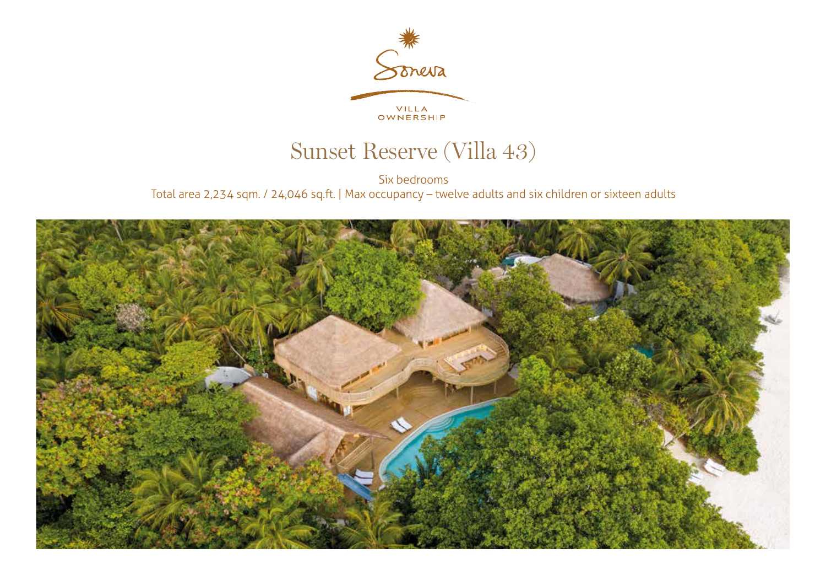

## Sunset Reserve (Villa 43)

Six bedrooms Total area 2,234 sqm. / 24,046 sq.ft. | Max occupancy – twelve adults and six children or sixteen adults

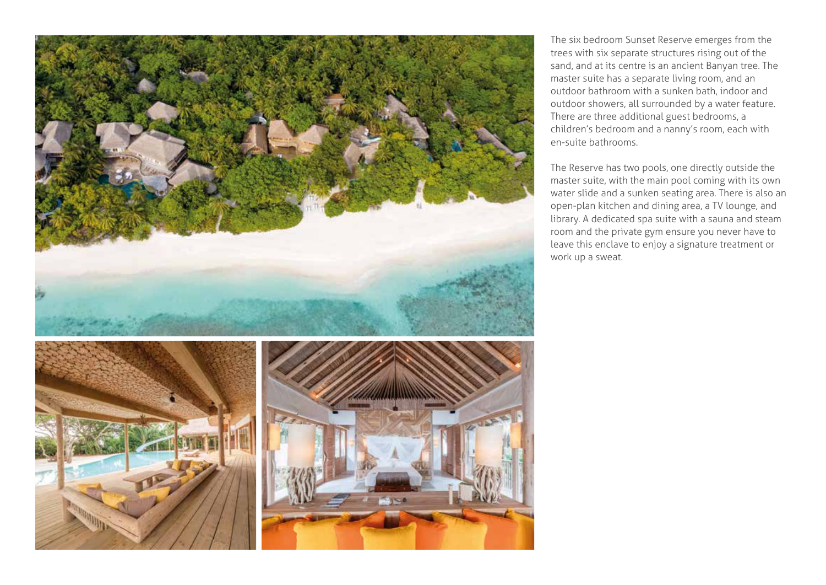

The six bedroom Sunset Reserve emerges from the trees with six separate structures rising out of the sand, and at its centre is an ancient Banyan tree. The master suite has a separate living room, and an outdoor bathroom with a sunken bath, indoor and outdoor showers, all surrounded by a water feature. There are three additional guest bedrooms, a children's bedroom and a nanny's room, each with en-suite bathrooms.

The Reserve has two pools, one directly outside the master suite, with the main pool coming with its own water slide and a sunken seating area. There is also an open-plan kitchen and dining area, a TV lounge, and library. A dedicated spa suite with a sauna and steam room and the private gym ensure you never have to leave this enclave to enjoy a signature treatment or work up a sweat.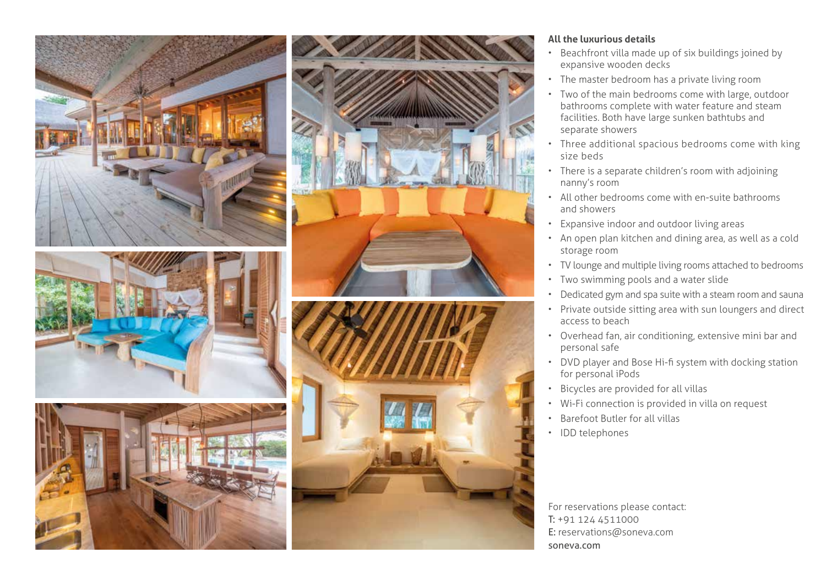









## **All the luxurious details**

- Beachfront villa made up of six buildings joined by expansive wooden decks
- The master bedroom has a private living room
- Two of the main bedrooms come with large, outdoor bathrooms complete with water feature and steam facilities. Both have large sunken bathtubs and separate showers
- Three additional spacious bedrooms come with king size beds
- There is a separate children's room with adjoining nanny's room
- All other bedrooms come with en-suite bathrooms and showers
- Expansive indoor and outdoor living areas
- An open plan kitchen and dining area, as well as a cold storage room
- TV lounge and multiple living rooms attached to bedrooms
- Two swimming pools and a water slide
- Dedicated gym and spa suite with a steam room and sauna
- Private outside sitting area with sun loungers and direct access to beach
- Overhead fan, air conditioning, extensive mini bar and personal safe
- DVD player and Bose Hi-fi system with docking station for personal iPods
- Bicycles are provided for all villas
- Wi-Fi connection is provided in villa on request
- Barefoot Butler for all villas
- IDD telephones

For reservations please contact: T: +91 124 4511000 E: reservations@soneva.com soneva.com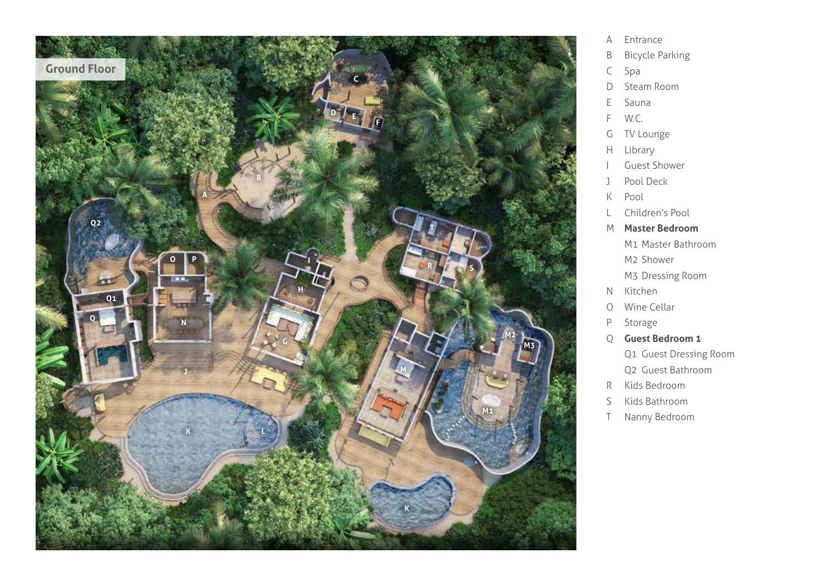

- A Entrance
- B Bicycle Parking
- C Spa
- D Steam Room
- E Sauna
- F W.C.
- G TV Lounge
- H Library
- I Guest Shower
- J Pool Deck
- K Pool
- L Children's Pool
- M **Master Bedroom**
	- M1 Master Bathroom M2 Shower
	- M3 Dressing Room
- N Kitchen
- O Wine Cellar
- P Storage
- Q **Guest Bedroom 1**
	- Q1 Guest Dressing Room Q2 Guest Bathroom
- R Kids Bedroom
- S Kids Bathroom
- T Nanny Bedroom